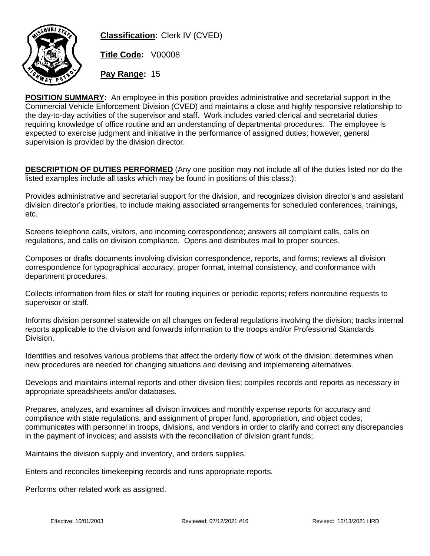

**Classification:** Clerk IV (CVED)

**Title Code:** V00008

**Pay Range:** 15

**POSITION SUMMARY:** An employee in this position provides administrative and secretarial support in the Commercial Vehicle Enforcement Division (CVED) and maintains a close and highly responsive relationship to the day-to-day activities of the supervisor and staff. Work includes varied clerical and secretarial duties requiring knowledge of office routine and an understanding of departmental procedures. The employee is expected to exercise judgment and initiative in the performance of assigned duties; however, general supervision is provided by the division director.

**DESCRIPTION OF DUTIES PERFORMED** (Any one position may not include all of the duties listed nor do the listed examples include all tasks which may be found in positions of this class.):

Provides administrative and secretarial support for the division, and recognizes division director's and assistant division director's priorities, to include making associated arrangements for scheduled conferences, trainings, etc.

Screens telephone calls, visitors, and incoming correspondence; answers all complaint calls, calls on regulations, and calls on division compliance. Opens and distributes mail to proper sources.

Composes or drafts documents involving division correspondence, reports, and forms; reviews all division correspondence for typographical accuracy, proper format, internal consistency, and conformance with department procedures.

Collects information from files or staff for routing inquiries or periodic reports; refers nonroutine requests to supervisor or staff.

Informs division personnel statewide on all changes on federal regulations involving the division; tracks internal reports applicable to the division and forwards information to the troops and/or Professional Standards Division.

Identifies and resolves various problems that affect the orderly flow of work of the division; determines when new procedures are needed for changing situations and devising and implementing alternatives.

Develops and maintains internal reports and other division files; compiles records and reports as necessary in appropriate spreadsheets and/or databases.

Prepares, analyzes, and examines all divison invoices and monthly expense reports for accuracy and compliance with state regulations, and assignment of proper fund, appropriation, and object codes; communicates with personnel in troops, divisions, and vendors in order to clarify and correct any discrepancies in the payment of invoices; and assists with the reconciliation of division grant funds;.

Maintains the division supply and inventory, and orders supplies.

Enters and reconciles timekeeping records and runs appropriate reports.

Performs other related work as assigned.